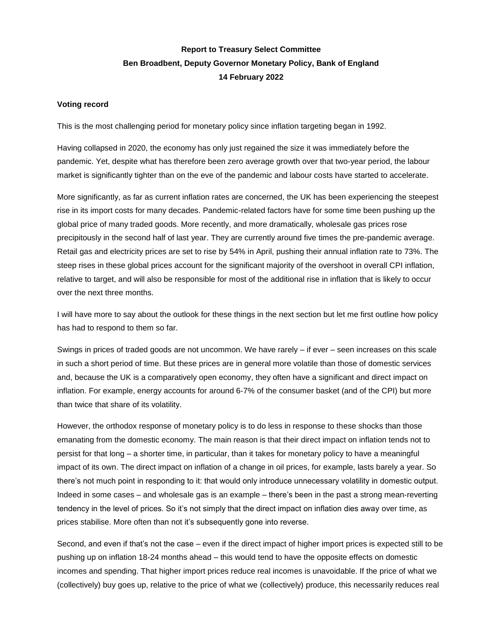## **Report to Treasury Select Committee Ben Broadbent, Deputy Governor Monetary Policy, Bank of England 14 February 2022**

## **Voting record**

This is the most challenging period for monetary policy since inflation targeting began in 1992.

Having collapsed in 2020, the economy has only just regained the size it was immediately before the pandemic. Yet, despite what has therefore been zero average growth over that two-year period, the labour market is significantly tighter than on the eve of the pandemic and labour costs have started to accelerate.

More significantly, as far as current inflation rates are concerned, the UK has been experiencing the steepest rise in its import costs for many decades. Pandemic-related factors have for some time been pushing up the global price of many traded goods. More recently, and more dramatically, wholesale gas prices rose precipitously in the second half of last year. They are currently around five times the pre-pandemic average. Retail gas and electricity prices are set to rise by 54% in April, pushing their annual inflation rate to 73%. The steep rises in these global prices account for the significant majority of the overshoot in overall CPI inflation, relative to target, and will also be responsible for most of the additional rise in inflation that is likely to occur over the next three months.

I will have more to say about the outlook for these things in the next section but let me first outline how policy has had to respond to them so far.

Swings in prices of traded goods are not uncommon. We have rarely – if ever – seen increases on this scale in such a short period of time. But these prices are in general more volatile than those of domestic services and, because the UK is a comparatively open economy, they often have a significant and direct impact on inflation. For example, energy accounts for around 6-7% of the consumer basket (and of the CPI) but more than twice that share of its volatility.

However, the orthodox response of monetary policy is to do less in response to these shocks than those emanating from the domestic economy. The main reason is that their direct impact on inflation tends not to persist for that long – a shorter time, in particular, than it takes for monetary policy to have a meaningful impact of its own. The direct impact on inflation of a change in oil prices, for example, lasts barely a year. So there's not much point in responding to it: that would only introduce unnecessary volatility in domestic output. Indeed in some cases – and wholesale gas is an example – there's been in the past a strong mean-reverting tendency in the level of prices. So it's not simply that the direct impact on inflation dies away over time, as prices stabilise. More often than not it's subsequently gone into reverse.

Second, and even if that's not the case – even if the direct impact of higher import prices is expected still to be pushing up on inflation 18-24 months ahead – this would tend to have the opposite effects on domestic incomes and spending. That higher import prices reduce real incomes is unavoidable. If the price of what we (collectively) buy goes up, relative to the price of what we (collectively) produce, this necessarily reduces real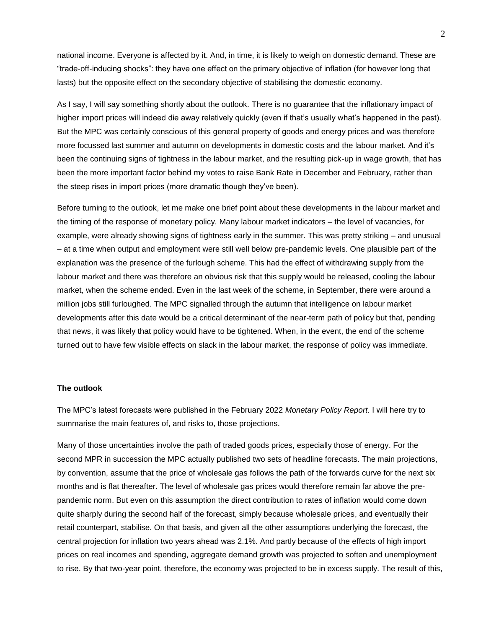national income. Everyone is affected by it. And, in time, it is likely to weigh on domestic demand. These are "trade-off-inducing shocks": they have one effect on the primary objective of inflation (for however long that lasts) but the opposite effect on the secondary objective of stabilising the domestic economy.

As I say, I will say something shortly about the outlook. There is no guarantee that the inflationary impact of higher import prices will indeed die away relatively quickly (even if that's usually what's happened in the past). But the MPC was certainly conscious of this general property of goods and energy prices and was therefore more focussed last summer and autumn on developments in domestic costs and the labour market. And it's been the continuing signs of tightness in the labour market, and the resulting pick-up in wage growth, that has been the more important factor behind my votes to raise Bank Rate in December and February, rather than the steep rises in import prices (more dramatic though they've been).

Before turning to the outlook, let me make one brief point about these developments in the labour market and the timing of the response of monetary policy. Many labour market indicators – the level of vacancies, for example, were already showing signs of tightness early in the summer. This was pretty striking – and unusual – at a time when output and employment were still well below pre-pandemic levels. One plausible part of the explanation was the presence of the furlough scheme. This had the effect of withdrawing supply from the labour market and there was therefore an obvious risk that this supply would be released, cooling the labour market, when the scheme ended. Even in the last week of the scheme, in September, there were around a million jobs still furloughed. The MPC signalled through the autumn that intelligence on labour market developments after this date would be a critical determinant of the near-term path of policy but that, pending that news, it was likely that policy would have to be tightened. When, in the event, the end of the scheme turned out to have few visible effects on slack in the labour market, the response of policy was immediate.

## **The outlook**

The MPC's latest forecasts were published in the February 2022 *Monetary Policy Report*. I will here try to summarise the main features of, and risks to, those projections.

Many of those uncertainties involve the path of traded goods prices, especially those of energy. For the second MPR in succession the MPC actually published two sets of headline forecasts. The main projections, by convention, assume that the price of wholesale gas follows the path of the forwards curve for the next six months and is flat thereafter. The level of wholesale gas prices would therefore remain far above the prepandemic norm. But even on this assumption the direct contribution to rates of inflation would come down quite sharply during the second half of the forecast, simply because wholesale prices, and eventually their retail counterpart, stabilise. On that basis, and given all the other assumptions underlying the forecast, the central projection for inflation two years ahead was 2.1%. And partly because of the effects of high import prices on real incomes and spending, aggregate demand growth was projected to soften and unemployment to rise. By that two-year point, therefore, the economy was projected to be in excess supply. The result of this,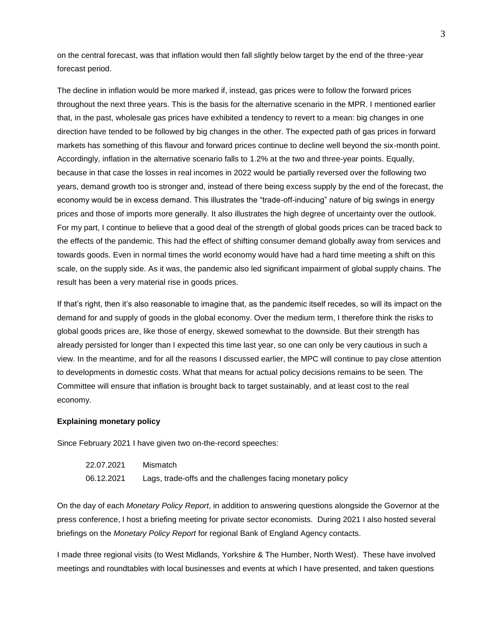on the central forecast, was that inflation would then fall slightly below target by the end of the three-year forecast period.

The decline in inflation would be more marked if, instead, gas prices were to follow the forward prices throughout the next three years. This is the basis for the alternative scenario in the MPR. I mentioned earlier that, in the past, wholesale gas prices have exhibited a tendency to revert to a mean: big changes in one direction have tended to be followed by big changes in the other. The expected path of gas prices in forward markets has something of this flavour and forward prices continue to decline well beyond the six-month point. Accordingly, inflation in the alternative scenario falls to 1.2% at the two and three-year points. Equally, because in that case the losses in real incomes in 2022 would be partially reversed over the following two years, demand growth too is stronger and, instead of there being excess supply by the end of the forecast, the economy would be in excess demand. This illustrates the "trade-off-inducing" nature of big swings in energy prices and those of imports more generally. It also illustrates the high degree of uncertainty over the outlook. For my part, I continue to believe that a good deal of the strength of global goods prices can be traced back to the effects of the pandemic. This had the effect of shifting consumer demand globally away from services and towards goods. Even in normal times the world economy would have had a hard time meeting a shift on this scale, on the supply side. As it was, the pandemic also led significant impairment of global supply chains. The result has been a very material rise in goods prices.

If that's right, then it's also reasonable to imagine that, as the pandemic itself recedes, so will its impact on the demand for and supply of goods in the global economy. Over the medium term, I therefore think the risks to global goods prices are, like those of energy, skewed somewhat to the downside. But their strength has already persisted for longer than I expected this time last year, so one can only be very cautious in such a view. In the meantime, and for all the reasons I discussed earlier, the MPC will continue to pay close attention to developments in domestic costs. What that means for actual policy decisions remains to be seen. The Committee will ensure that inflation is brought back to target sustainably, and at least cost to the real economy.

## **Explaining monetary policy**

Since February 2021 I have given two on-the-record speeches:

22.07.2021 Mismatch 06.12.2021 Lags, trade-offs and the challenges facing monetary policy

On the day of each *Monetary Policy Report*, in addition to answering questions alongside the Governor at the press conference, I host a briefing meeting for private sector economists. During 2021 I also hosted several briefings on the *Monetary Policy Report* for regional Bank of England Agency contacts.

I made three regional visits (to West Midlands, Yorkshire & The Humber, North West). These have involved meetings and roundtables with local businesses and events at which I have presented, and taken questions